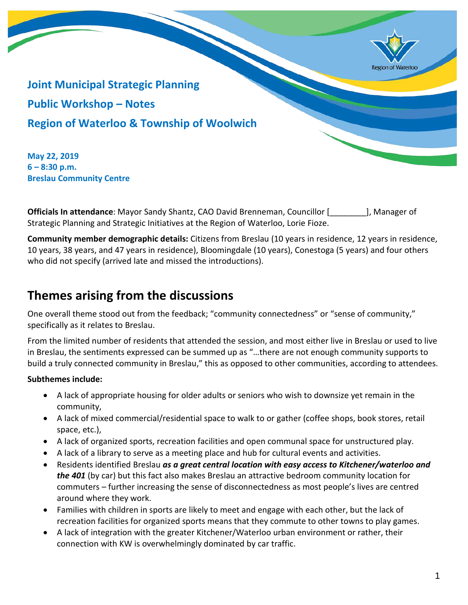

**Joint Municipal Strategic Planning Public Workshop – Notes Region of Waterloo & Township of Woolwich**

**May 22, 2019 6 – 8:30 p.m. Breslau Community Centre**

**Officials In attendance**: Mayor Sandy Shantz, CAO David Brenneman, Councillor [\_\_\_\_\_\_\_\_], Manager of Strategic Planning and Strategic Initiatives at the Region of Waterloo, Lorie Fioze.

**Community member demographic details:** Citizens from Breslau (10 years in residence, 12 years in residence, 10 years, 38 years, and 47 years in residence), Bloomingdale (10 years), Conestoga (5 years) and four others who did not specify (arrived late and missed the introductions).

## **Themes arising from the discussions**

One overall theme stood out from the feedback; "community connectedness" or "sense of community," specifically as it relates to Breslau.

From the limited number of residents that attended the session, and most either live in Breslau or used to live in Breslau, the sentiments expressed can be summed up as "…there are not enough community supports to build a truly connected community in Breslau," this as opposed to other communities, according to attendees.

## **Subthemes include:**

- A lack of appropriate housing for older adults or seniors who wish to downsize yet remain in the community,
- A lack of mixed commercial/residential space to walk to or gather (coffee shops, book stores, retail space, etc.),
- A lack of organized sports, recreation facilities and open communal space for unstructured play.
- A lack of a library to serve as a meeting place and hub for cultural events and activities.
- Residents identified Breslau *as a great central location with easy access to Kitchener/waterloo and the 401* (by car) but this fact also makes Breslau an attractive bedroom community location for commuters – further increasing the sense of disconnectedness as most people's lives are centred around where they work.
- Families with children in sports are likely to meet and engage with each other, but the lack of recreation facilities for organized sports means that they commute to other towns to play games.
- A lack of integration with the greater Kitchener/Waterloo urban environment or rather, their connection with KW is overwhelmingly dominated by car traffic.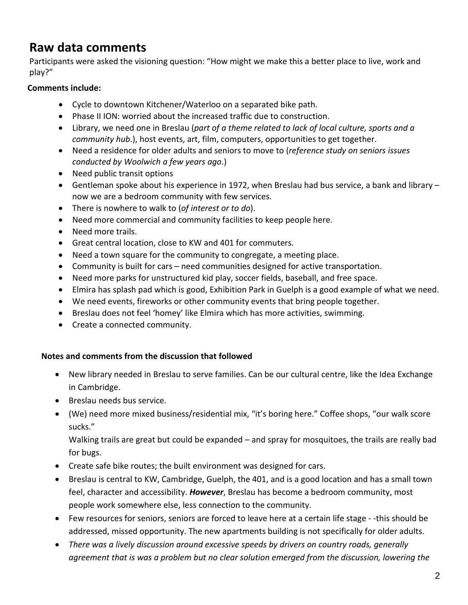# **Raw data comments**

Participants were asked the visioning question: "How might we make this a better place to live, work and play?"

## **Comments include:**

- Cycle to downtown Kitchener/Waterloo on a separated bike path.
- Phase II ION: worried about the increased traffic due to construction.
- Library, we need one in Breslau (*part of a theme related to lack of local culture, sports and a community hub*.), host events, art, film, computers, opportunities to get together.
- Need a residence for older adults and seniors to move to (*reference study on seniors issues conducted by Woolwich a few years ago*.)
- Need public transit options
- Gentleman spoke about his experience in 1972, when Breslau had bus service, a bank and library now we are a bedroom community with few services.
- There is nowhere to walk to (*of interest or to do*).
- Need more commercial and community facilities to keep people here.
- Need more trails.
- Great central location, close to KW and 401 for commuters.
- Need a town square for the community to congregate, a meeting place.
- Community is built for cars need communities designed for active transportation.
- Need more parks for unstructured kid play, soccer fields, baseball, and free space.
- Elmira has splash pad which is good, Exhibition Park in Guelph is a good example of what we need.
- We need events, fireworks or other community events that bring people together.
- Breslau does not feel 'homey' like Elmira which has more activities, swimming.
- Create a connected community.

#### **Notes and comments from the discussion that followed**

- New library needed in Breslau to serve families. Can be our cultural centre, like the Idea Exchange in Cambridge.
- Breslau needs bus service.
- (We) need more mixed business/residential mix, "it's boring here." Coffee shops, "our walk score sucks."

Walking trails are great but could be expanded – and spray for mosquitoes, the trails are really bad for bugs.

- Create safe bike routes; the built environment was designed for cars.
- Breslau is central to KW, Cambridge, Guelph, the 401, and is a good location and has a small town feel, character and accessibility. *However*, Breslau has become a bedroom community, most people work somewhere else, less connection to the community.
- Few resources for seniors, seniors are forced to leave here at a certain life stage -this should be addressed, missed opportunity. The new apartments building is not specifically for older adults.
- *There was a lively discussion around excessive speeds by drivers on country roads, generally agreement that is was a problem but no clear solution emerged from the discussion, lowering the*